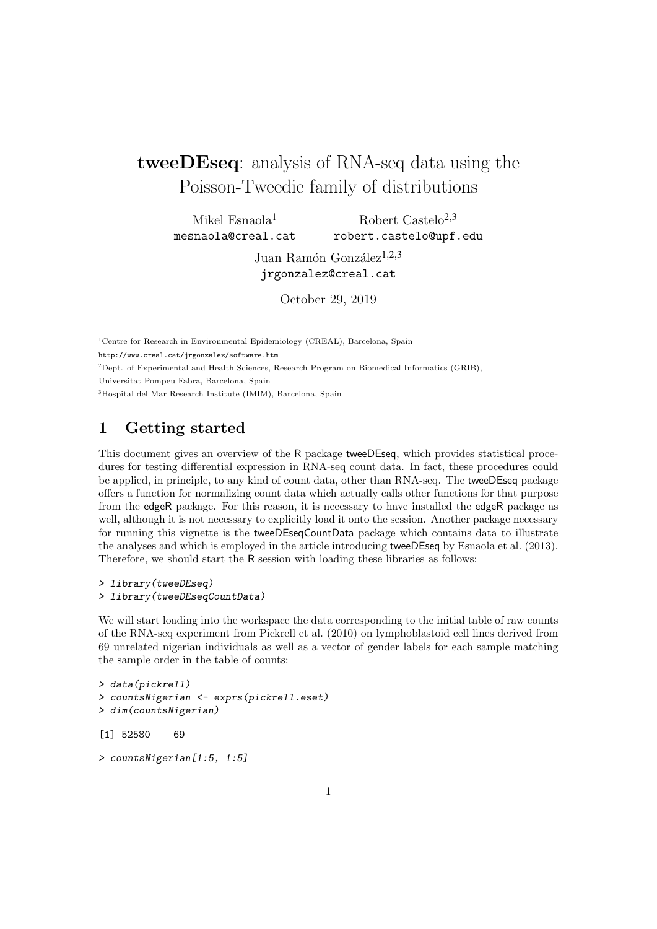# tweeDEseq: analysis of RNA-seq data using the Poisson-Tweedie family of distributions

Mikel Esnaola<sup>1</sup> mesnaola@creal.cat Robert Castelo<sup>2,3</sup> robert.castelo@upf.edu

> Juan Ramón González<sup>1,2,3</sup> jrgonzalez@creal.cat

> > October 29, 2019

<sup>1</sup>Centre for Research in Environmental Epidemiology (CREAL), Barcelona, Spain <http://www.creal.cat/jrgonzalez/software.htm> <sup>2</sup>Dept. of Experimental and Health Sciences, Research Program on Biomedical Informatics (GRIB), Universitat Pompeu Fabra, Barcelona, Spain <sup>3</sup>Hospital del Mar Research Institute (IMIM), Barcelona, Spain

## 1 Getting started

This document gives an overview of the R package tweeDEseq, which provides statistical procedures for testing differential expression in RNA-seq count data. In fact, these procedures could be applied, in principle, to any kind of count data, other than RNA-seq. The tweeDEseq package offers a function for normalizing count data which actually calls other functions for that purpose from the edgeR package. For this reason, it is necessary to have installed the edgeR package as well, although it is not necessary to explicitly load it onto the session. Another package necessary for running this vignette is the tweeDEseqCountData package which contains data to illustrate the analyses and which is employed in the article introducing tweeDEseq by [Esnaola et al.](#page-12-0) [\(2013\)](#page-12-0). Therefore, we should start the R session with loading these libraries as follows:

```
> library(tweeDEseq)
> library(tweeDEseqCountData)
```
We will start loading into the workspace the data corresponding to the initial table of raw counts of the RNA-seq experiment from [Pickrell et al.](#page-12-1) [\(2010\)](#page-12-1) on lymphoblastoid cell lines derived from 69 unrelated nigerian individuals as well as a vector of gender labels for each sample matching the sample order in the table of counts:

```
> data(pickrell)
> countsNigerian <- exprs(pickrell.eset)
> dim(countsNigerian)
[1] 52580 69
```

```
> countsNigerian[1:5, 1:5]
```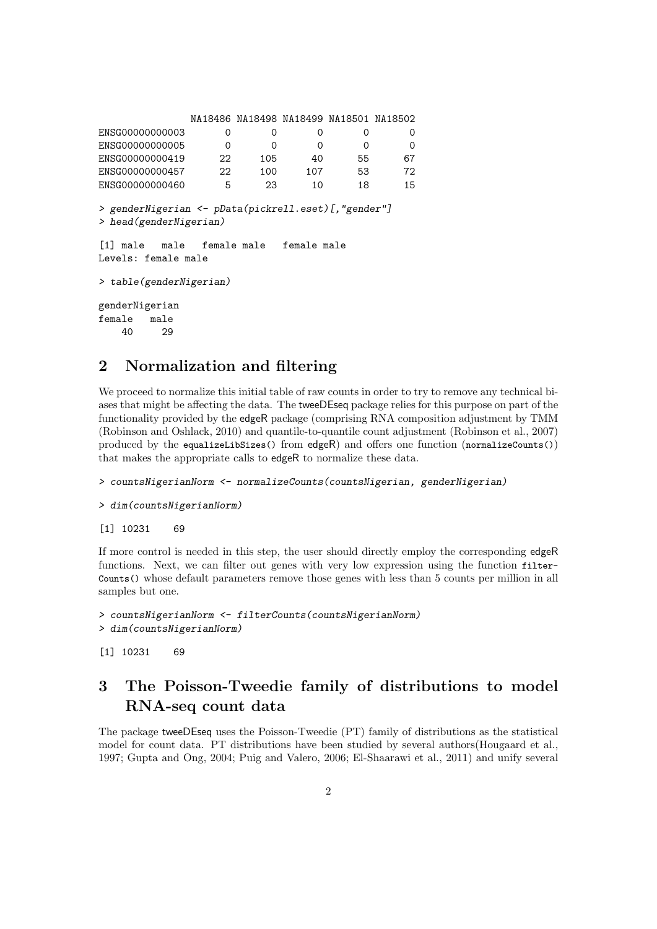|                                                                                |                 | NA18486 NA18498 NA18499 NA18501 NA18502 |             |          |          |
|--------------------------------------------------------------------------------|-----------------|-----------------------------------------|-------------|----------|----------|
| ENSG00000000003                                                                | 0               | $\Omega$                                | 0           | 0        | 0        |
| ENSG00000000005                                                                | $\Omega$        | 0                                       | 0           | $\Omega$ | $\Omega$ |
| ENSG00000000419                                                                | 22 <sub>1</sub> | 105                                     | 40          | 55       | 67       |
| ENSG00000000457                                                                | 22              | 100                                     | 107         | 53       | 72       |
| ENSG00000000460                                                                | 5               | 23                                      | 10          | 18       | 15       |
| > genderNigerian <- pData(pickrell.eset)[, "gender"]<br>> head(genderNigerian) |                 |                                         |             |          |          |
| Levels: female male                                                            |                 |                                         | female male |          |          |
| > table(genderNigerian)                                                        |                 |                                         |             |          |          |
| genderNigerian                                                                 |                 |                                         |             |          |          |
| female<br>male                                                                 |                 |                                         |             |          |          |
| 40<br>29                                                                       |                 |                                         |             |          |          |

#### 2 Normalization and filtering

We proceed to normalize this initial table of raw counts in order to try to remove any technical biases that might be affecting the data. The tweeDEseq package relies for this purpose on part of the functionality provided by the edgeR package (comprising RNA composition adjustment by TMM [\(Robinson and Oshlack,](#page-12-2) [2010\)](#page-12-2) and quantile-to-quantile count adjustment [\(Robinson et al.,](#page-12-3) [2007\)](#page-12-3) produced by the equalizeLibSizes() from edgeR) and offers one function (normalizeCounts()) that makes the appropriate calls to edgeR to normalize these data.

> countsNigerianNorm <- normalizeCounts(countsNigerian, genderNigerian)

```
> dim(countsNigerianNorm)
```
[1] 10231 69

If more control is needed in this step, the user should directly employ the corresponding edgeR functions. Next, we can filter out genes with very low expression using the function filter-Counts() whose default parameters remove those genes with less than 5 counts per million in all samples but one.

```
> countsNigerianNorm <- filterCounts(countsNigerianNorm)
> dim(countsNigerianNorm)
```
[1] 10231 69

## 3 The Poisson-Tweedie family of distributions to model RNA-seq count data

The package tweeDEseq uses the Poisson-Tweedie (PT) family of distributions as the statistical model for count data. PT distributions have been studied by several authors[\(Hougaard et al.,](#page-12-4) [1997;](#page-12-4) [Gupta and Ong,](#page-12-5) [2004;](#page-12-5) [Puig and Valero,](#page-12-6) [2006;](#page-12-6) [El-Shaarawi et al.,](#page-12-7) [2011\)](#page-12-7) and unify several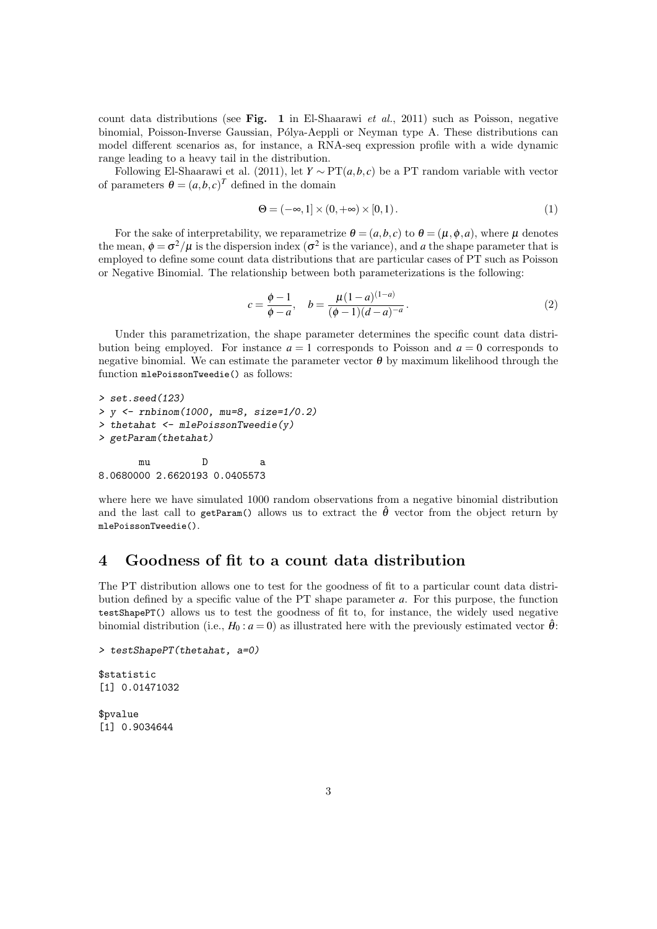count data distributions (see Fig. 1 in El-Shaarawi et al., 2011) such as Poisson, negative binomial, Poisson-Inverse Gaussian, Pólya-Aeppli or Neyman type A. These distributions can model different scenarios as, for instance, a RNA-seq expression profile with a wide dynamic range leading to a heavy tail in the distribution.

Following [El-Shaarawi et al.](#page-12-7) [\(2011\)](#page-12-7), let  $Y \sim PT(a, b, c)$  be a PT random variable with vector of parameters  $\theta = (a, b, c)^T$  defined in the domain

$$
\Theta = (-\infty, 1] \times (0, +\infty) \times [0, 1). \tag{1}
$$

For the sake of interpretability, we reparametrize  $\theta = (a, b, c)$  to  $\theta = (\mu, \phi, a)$ , where  $\mu$  denotes the mean,  $\phi = \sigma^2/\mu$  is the dispersion index ( $\sigma^2$  is the variance), and *a* the shape parameter that is employed to define some count data distributions that are particular cases of PT such as Poisson or Negative Binomial. The relationship between both parameterizations is the following:

$$
c = \frac{\phi - 1}{\phi - a}, \quad b = \frac{\mu(1 - a)^{(1 - a)}}{(\phi - 1)(d - a)^{-a}}.
$$
 (2)

Under this parametrization, the shape parameter determines the specific count data distribution being employed. For instance  $a = 1$  corresponds to Poisson and  $a = 0$  corresponds to negative binomial. We can estimate the parameter vector  $\theta$  by maximum likelihood through the function mlePoissonTweedie() as follows:

```
> set.seed(123)
> y <- rnbinom(1000, mu=8, size=1/0.2)
> thetahat <- mlePoissonTweedie(y)
> getParam(thetahat)
```
mu D a 8.0680000 2.6620193 0.0405573

where here we have simulated 1000 random observations from a negative binomial distribution and the last call to getParam() allows us to extract the  $\hat{\theta}$  vector from the object return by mlePoissonTweedie().

#### 4 Goodness of fit to a count data distribution

The PT distribution allows one to test for the goodness of fit to a particular count data distribution defined by a specific value of the PT shape parameter *a*. For this purpose, the function testShapePT() allows us to test the goodness of fit to, for instance, the widely used negative binomial distribution (i.e.,  $H_0$ :  $a = 0$ ) as illustrated here with the previously estimated vector  $\hat{\theta}$ :

```
> testShapePT(thetahat, a=0)
```
\$statistic [1] 0.01471032

\$pvalue [1] 0.9034644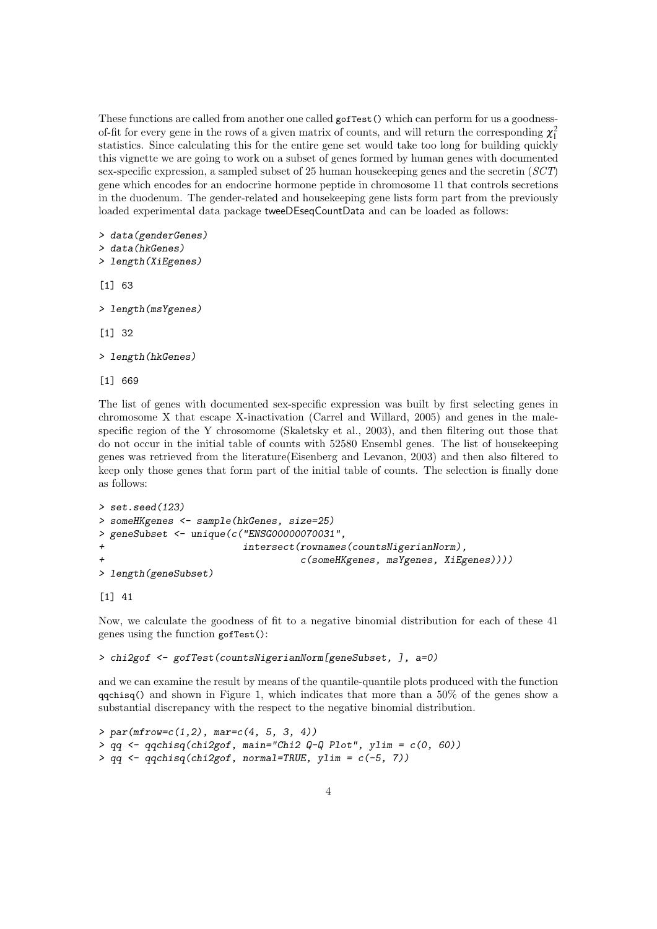These functions are called from another one called gofTest() which can perform for us a goodnessof-fit for every gene in the rows of a given matrix of counts, and will return the corresponding  $\chi_1^2$ statistics. Since calculating this for the entire gene set would take too long for building quickly this vignette we are going to work on a subset of genes formed by human genes with documented sex-specific expression, a sampled subset of 25 human housekeeping genes and the secretin (SCT) gene which encodes for an endocrine hormone peptide in chromosome 11 that controls secretions in the duodenum. The gender-related and housekeeping gene lists form part from the previously loaded experimental data package tweeDEseqCountData and can be loaded as follows:

```
> data(genderGenes)
```

```
> data(hkGenes)
```

```
> length(XiEgenes)
```
[1] 63

```
> length(msYgenes)
```
[1] 32

```
> length(hkGenes)
```
[1] 669

The list of genes with documented sex-specific expression was built by first selecting genes in chromosome X that escape X-inactivation [\(Carrel and Willard,](#page-12-8) [2005\)](#page-12-8) and genes in the malespecific region of the Y chrosomome [\(Skaletsky et al.,](#page-13-0) [2003\)](#page-13-0), and then filtering out those that do not occur in the initial table of counts with 52580 Ensembl genes. The list of housekeeping genes was retrieved from the literature[\(Eisenberg and Levanon,](#page-12-9) [2003\)](#page-12-9) and then also filtered to keep only those genes that form part of the initial table of counts. The selection is finally done as follows:

```
> set.seed(123)
> someHKgenes <- sample(hkGenes, size=25)
> geneSubset <- unique(c("ENSG00000070031",
+ intersect(rownames(countsNigerianNorm),
                                c(someHKgenes, msYgenes, XiEgenes))))
> length(geneSubset)
```
[1] 41

Now, we calculate the goodness of fit to a negative binomial distribution for each of these 41 genes using the function gofTest():

```
> chi2gof <- gofTest(countsNigerianNorm[geneSubset, ], a=0)
```
and we can examine the result by means of the quantile-quantile plots produced with the function  $q$ qchisq() and shown in Figure [1,](#page-4-0) which indicates that more than a 50% of the genes show a substantial discrepancy with the respect to the negative binomial distribution.

```
> par(mfrow=c(1,2), mar=c(4, 5, 3, 4))> qq <- qqchisq(chi2gof, main="Chi2 Q-Q Plot", ylim = c(0, 60))
> qq <- qqchisq(chi2gof, normal=TRUE, ylim = c(-5, 7))
```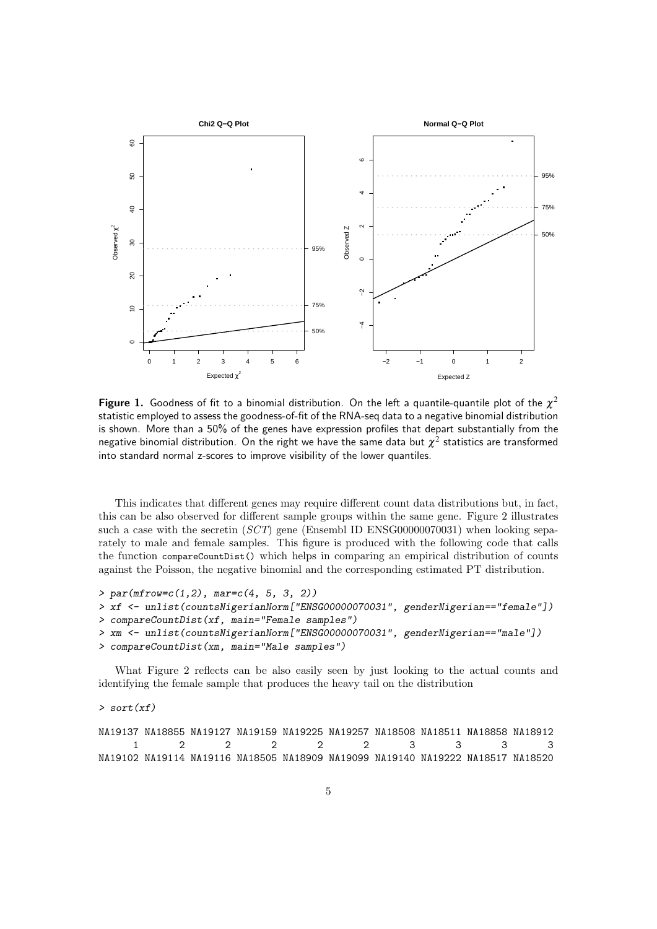<span id="page-4-0"></span>

Figure 1. Goodness of fit to a binomial distribution. On the left a quantile-quantile plot of the  $\chi^2$ statistic employed to assess the goodness-of-fit of the RNA-seq data to a negative binomial distribution is shown. More than a 50% of the genes have expression profiles that depart substantially from the negative binomial distribution. On the right we have the same data but  $\chi^2$  statistics are transformed into standard normal z-scores to improve visibility of the lower quantiles.

This indicates that different genes may require different count data distributions but, in fact, this can be also observed for different sample groups within the same gene. Figure [2](#page-5-0) illustrates such a case with the secretin (SCT) gene (Ensembl ID ENSG00000070031) when looking separately to male and female samples. This figure is produced with the following code that calls the function compareCountDist() which helps in comparing an empirical distribution of counts against the Poisson, the negative binomial and the corresponding estimated PT distribution.

```
> par(mfrow=c(1,2), mar=c(4, 5, 3, 2))
```

```
> xf <- unlist(countsNigerianNorm["ENSG00000070031", genderNigerian=="female"])
```

```
> compareCountDist(xf, main="Female samples")
```

```
> xm <- unlist(countsNigerianNorm["ENSG00000070031", genderNigerian=="male"])
```

```
> compareCountDist(xm, main="Male samples")
```
What Figure [2](#page-5-0) reflects can be also easily seen by just looking to the actual counts and identifying the female sample that produces the heavy tail on the distribution

#### $> sort(xf)$

NA19137 NA18855 NA19127 NA19159 NA19225 NA19257 NA18508 NA18511 NA18858 NA18912 1 2 2 2 2 2 3 3 3 3 NA19102 NA19114 NA19116 NA18505 NA18909 NA19099 NA19140 NA19222 NA18517 NA18520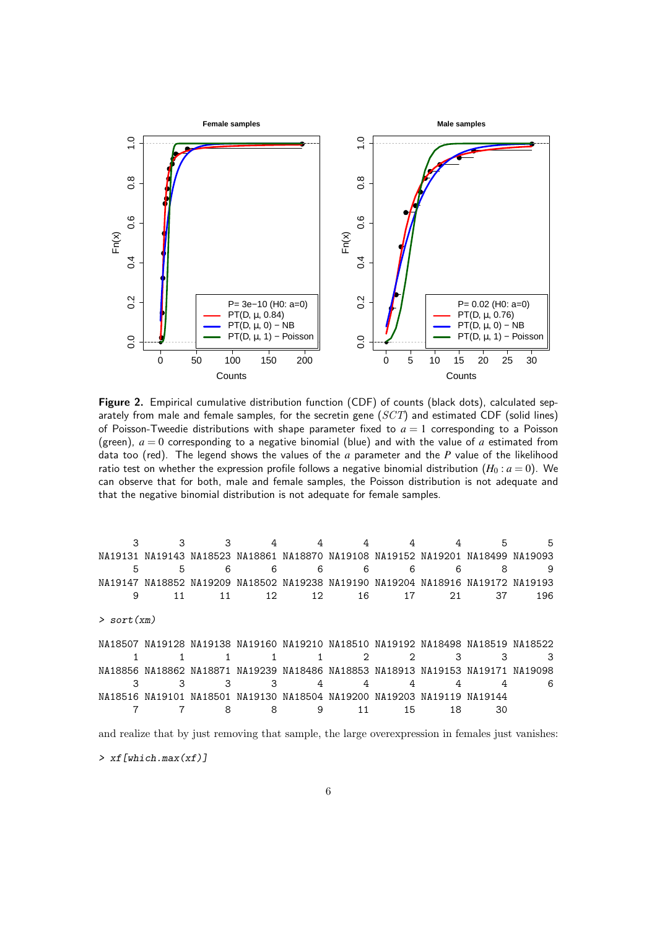<span id="page-5-0"></span>

Figure 2. Empirical cumulative distribution function (CDF) of counts (black dots), calculated separately from male and female samples, for the secretin gene  $(SCT)$  and estimated CDF (solid lines) of Poisson-Tweedie distributions with shape parameter fixed to *a* = 1 corresponding to a Poisson (green),  $a = 0$  corresponding to a negative binomial (blue) and with the value of a estimated from data too (red). The legend shows the values of the *a* parameter and the *P* value of the likelihood ratio test on whether the expression profile follows a negative binomial distribution  $(H_0: a = 0)$ . We can observe that for both, male and female samples, the Poisson distribution is not adequate and that the negative binomial distribution is not adequate for female samples.

|                 |    |    |                 |                 |    |                                                                                 |    | 5  | 5   |
|-----------------|----|----|-----------------|-----------------|----|---------------------------------------------------------------------------------|----|----|-----|
|                 |    |    |                 |                 |    | NA19131 NA19143 NA18523 NA18861 NA18870 NA19108 NA19152 NA19201 NA18499 NA19093 |    |    |     |
| 5               | 5  | 6  | 6               | 6               | 6  | 6                                                                               | 6  | 8  | 9   |
|                 |    |    |                 |                 |    | NA19147 NA18852 NA19209 NA18502 NA19238 NA19190 NA19204 NA18916 NA19172 NA19193 |    |    |     |
| 9               | 11 | 11 | 12 <sub>1</sub> | 12 <sub>1</sub> | 16 | 17                                                                              | 21 | 37 | 196 |
| $>$ sort $(xm)$ |    |    |                 |                 |    |                                                                                 |    |    |     |
|                 |    |    |                 |                 |    | NA18507 NA19128 NA19138 NA19160 NA19210 NA18510 NA19192 NA18498 NA18519 NA18522 |    |    |     |
|                 |    |    |                 |                 | っ  | っ                                                                               |    | З  |     |
|                 |    |    |                 |                 |    | NA18856 NA18862 NA18871 NA19239 NA18486 NA18853 NA18913 NA19153 NA19171 NA19098 |    |    |     |
|                 |    | З  |                 | 4               |    |                                                                                 |    |    | 6   |
|                 |    |    |                 |                 |    | NA18516 NA19101 NA18501 NA19130 NA18504 NA19200 NA19203 NA19119 NA19144         |    |    |     |
|                 |    | 8  |                 | 9               | 11 | 15                                                                              | 18 | 30 |     |
|                 |    |    |                 |                 |    |                                                                                 |    |    |     |

and realize that by just removing that sample, the large overexpression in females just vanishes:  $>$  xf[which.max(xf)]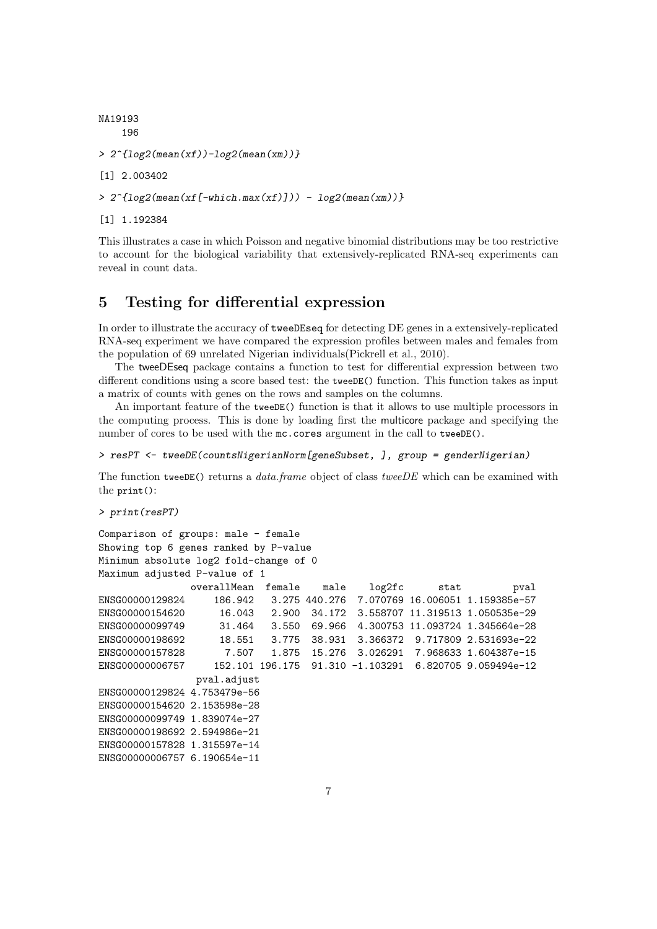```
NA19193
    196
> 2^{(log2(mean(xf))-log2(mean(xm)))}[1] 2.003402
> 2^{(log2(mean(xf[-\text{which.max}(xf)])) - log2(mean(xm)))}[1] 1.192384
```
This illustrates a case in which Poisson and negative binomial distributions may be too restrictive to account for the biological variability that extensively-replicated RNA-seq experiments can reveal in count data.

#### 5 Testing for differential expression

In order to illustrate the accuracy of tweeDEseq for detecting DE genes in a extensively-replicated RNA-seq experiment we have compared the expression profiles between males and females from the population of 69 unrelated Nigerian individuals[\(Pickrell et al.,](#page-12-1) [2010\)](#page-12-1).

The tweeDEseq package contains a function to test for differential expression between two different conditions using a score based test: the tweeDE() function. This function takes as input a matrix of counts with genes on the rows and samples on the columns.

An important feature of the tweeDE() function is that it allows to use multiple processors in the computing process. This is done by loading first the multicore package and specifying the number of cores to be used with the mc.cores argument in the call to tweeDE().

> resPT <- tweeDE(countsNigerianNorm[geneSubset, ], group = genderNigerian)

The function tweeDE() returns a *data.frame* object of class tweeDE which can be examined with the print():

```
> print(resPT)
```

```
Comparison of groups: male - female
Showing top 6 genes ranked by P-value
Minimum absolute log2 fold-change of 0
Maximum adjusted P-value of 1
               overallMean female male log2fc stat pval
ENSG00000129824 186.942 3.275 440.276 7.070769 16.006051 1.159385e-57
ENSG00000154620 16.043 2.900 34.172 3.558707 11.319513 1.050535e-29
ENSG00000099749 31.464 3.550 69.966 4.300753 11.093724 1.345664e-28
ENSG00000198692 18.551 3.775 38.931 3.366372 9.717809 2.531693e-22
ENSG00000157828 7.507 1.875 15.276 3.026291 7.968633 1.604387e-15
ENSG00000006757 152.101 196.175 91.310 -1.103291 6.820705 9.059494e-12
               pval.adjust
ENSG00000129824 4.753479e-56
ENSG00000154620 2.153598e-28
ENSG00000099749 1.839074e-27
ENSG00000198692 2.594986e-21
ENSG00000157828 1.315597e-14
ENSG00000006757 6.190654e-11
```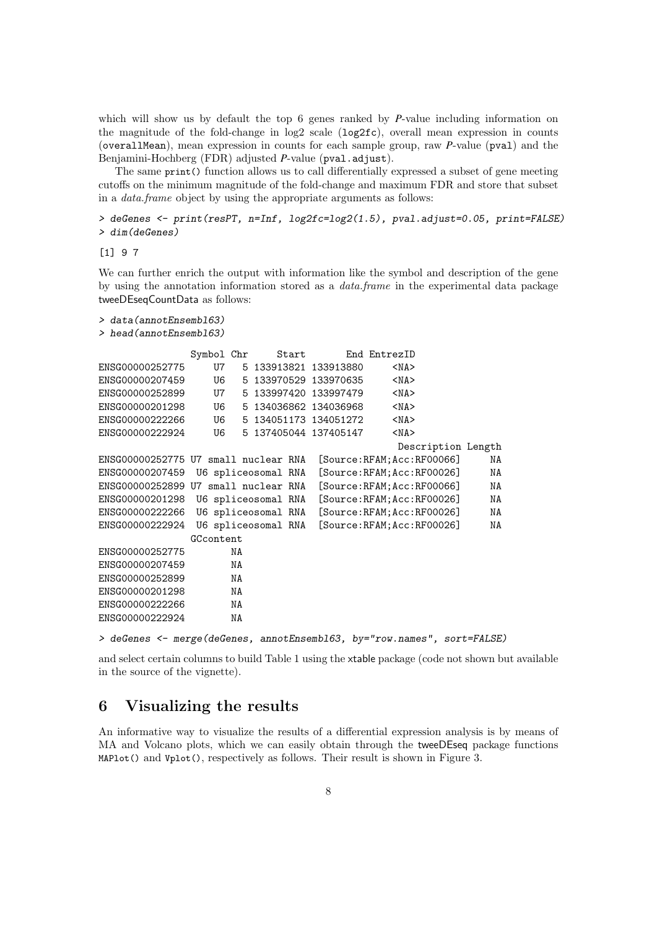which will show us by default the top 6 genes ranked by *P*-value including information on the magnitude of the fold-change in  $log2$  scale  $(log2fc)$ , overall mean expression in counts (overallMean), mean expression in counts for each sample group, raw *P*-value (pval) and the Benjamini-Hochberg (FDR) adjusted *P*-value (pval.adjust).

The same print() function allows us to call differentially expressed a subset of gene meeting cutoffs on the minimum magnitude of the fold-change and maximum FDR and store that subset in a data.frame object by using the appropriate arguments as follows:

> deGenes <- print(resPT, n=Inf, log2fc=log2(1.5), pval.adjust=0.05, print=FALSE) > dim(deGenes)

[1] 9 7

We can further enrich the output with information like the symbol and description of the gene by using the annotation information stored as a data.frame in the experimental data package tweeDEseqCountData as follows:

```
> data(annotEnsembl63)
```

```
> head(annotEnsembl63)
```

|                                      | Symbol Chr |                     | Start |                              | End EntrezID |            |                    |    |
|--------------------------------------|------------|---------------------|-------|------------------------------|--------------|------------|--------------------|----|
| ENSG00000252775                      | U7         |                     |       | 5 133913821 133913880        |              | $<$ NA $>$ |                    |    |
| ENSG00000207459                      | U6         |                     |       | 5 133970529 133970635        |              | $<$ NA $>$ |                    |    |
| ENSG00000252899                      | U7         |                     |       | 5 133997420 133997479        |              | $<$ NA $>$ |                    |    |
| ENSG00000201298                      | U6         |                     |       | 5 134036862 134036968        |              | $<$ NA $>$ |                    |    |
| ENSG00000222266                      | U6         |                     |       | 5 134051173 134051272        |              | $<$ NA $>$ |                    |    |
| ENSG00000222924                      | U6         |                     |       | 5 137405044 137405147        |              | $<$ NA $>$ |                    |    |
|                                      |            |                     |       |                              |              |            | Description Length |    |
| ENSG00000252775 U7 small nuclear RNA |            |                     |       | [Source:RFAM;Acc:RF00066]    |              |            |                    | ΝA |
| ENSG00000207459 U6 spliceosomal RNA  |            |                     |       | [Source:RFAM;Acc:RF00026]    |              |            |                    | ΝA |
| ENSG00000252899 U7 small nuclear RNA |            |                     |       | [Source: RFAM; Acc: RF00066] |              |            |                    | ΝA |
| ENSG00000201298                      |            | U6 spliceosomal RNA |       | [Source:RFAM;Acc:RF00026]    |              |            |                    | ΝA |
| ENSG00000222266                      |            | U6 spliceosomal RNA |       | [Source:RFAM;Acc:RF00026]    |              |            |                    | ΝA |
| ENSG00000222924                      |            | U6 spliceosomal RNA |       | [Source:RFAM;Acc:RF00026]    |              |            |                    | ΝA |
|                                      | GCcontent  |                     |       |                              |              |            |                    |    |
| ENSG00000252775                      | NA         |                     |       |                              |              |            |                    |    |
| ENSG00000207459                      | NA         |                     |       |                              |              |            |                    |    |
| ENSG00000252899                      | NA         |                     |       |                              |              |            |                    |    |
| ENSG00000201298                      | NA         |                     |       |                              |              |            |                    |    |
| ENSG00000222266                      | NA         |                     |       |                              |              |            |                    |    |
| ENSG00000222924                      | ΝA         |                     |       |                              |              |            |                    |    |
|                                      |            |                     |       |                              |              |            |                    |    |

> deGenes <- merge(deGenes, annotEnsembl63, by="row.names", sort=FALSE)

and select certain columns to build Table [1](#page-8-0) using the xtable package (code not shown but available in the source of the vignette).

#### 6 Visualizing the results

An informative way to visualize the results of a differential expression analysis is by means of MA and Volcano plots, which we can easily obtain through the tweeDEseq package functions MAPlot() and Vplot(), respectively as follows. Their result is shown in Figure [3.](#page-9-0)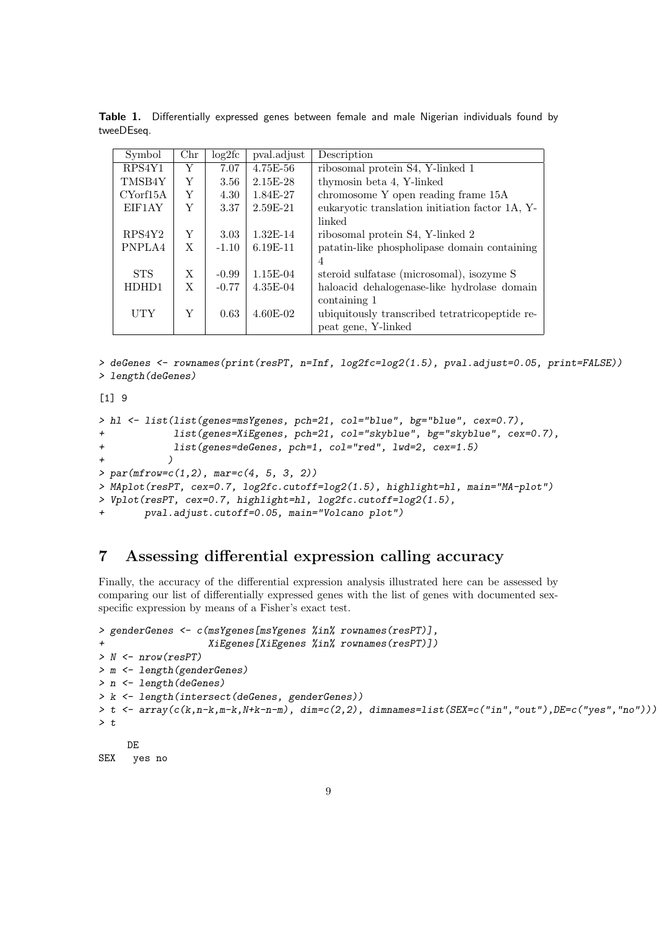| Symbol     | $_{\rm Chr}$ | log2fc  | pval.adjust  | Description                                     |
|------------|--------------|---------|--------------|-------------------------------------------------|
| RPS4Y1     | Y            | 7.07    | $4.75E - 56$ | ribosomal protein S4, Y-linked 1                |
| TMSB4Y     | Y            | 3.56    | $2.15E-28$   | thymosin beta 4, Y-linked                       |
| CYorf15A   | Y            | 4.30    | 1.84E-27     | chromosome Y open reading frame 15A             |
| EIF1AY     | Y            | 3.37    | $2.59E-21$   | eukaryotic translation initiation factor 1A, Y- |
|            |              |         |              | linked                                          |
| RPS4Y2     | Y            | 3.03    | $1.32E-14$   | ribosomal protein S4, Y-linked 2                |
| PNPLA4     | X            | $-1.10$ | $6.19E-11$   | patatin-like phospholipase domain containing    |
|            |              |         |              | $\overline{4}$                                  |
| <b>STS</b> | X            | $-0.99$ | $1.15E-04$   | steroid sulfatase (microsomal), isozyme S       |
| HDHD1      | X            | $-0.77$ | 4.35E-04     | haloacid dehalogenase-like hydrolase domain     |
|            |              |         |              | containing 1                                    |
| <b>UTY</b> | Y            | 0.63    | $4.60E-02$   | ubiquitously transcribed tetratricopeptide re-  |
|            |              |         |              | peat gene, Y-linked                             |

<span id="page-8-0"></span>Table 1. Differentially expressed genes between female and male Nigerian individuals found by tweeDEseq.

```
> deGenes <- rownames(print(resPT, n=Inf, log2fc=log2(1.5), pval.adjust=0.05, print=FALSE))
> length(deGenes)
```
[1] 9

```
> hl <- list(list(genes=msYgenes, pch=21, col="blue", bg="blue", cex=0.7),
+ list(genes=XiEgenes, pch=21, col="skyblue", bg="skyblue", cex=0.7),
+ list(genes=deGenes, pch=1, col="red", lwd=2, cex=1.5)
+ )
> par(mfrow=c(1,2), mar=c(4, 5, 3, 2))> MAplot(resPT, cex=0.7, log2fc.cutoff=log2(1.5), highlight=hl, main="MA-plot")
> Vplot(resPT, cex=0.7, highlight=hl, log2fc.cutoff=log2(1.5),
       pval.adjust.cutoff=0.05, main="Volcano plot")
```
### 7 Assessing differential expression calling accuracy

Finally, the accuracy of the differential expression analysis illustrated here can be assessed by comparing our list of differentially expressed genes with the list of genes with documented sexspecific expression by means of a Fisher's exact test.

```
> genderGenes <- c(msYgenes[msYgenes %in% rownames(resPT)],
                   XiEgenes[XiEgenes %in% rownames(resPT)])
> N <- nrow(resPT)
> m <- length(genderGenes)
> n <- length(deGenes)
> k <- length(intersect(deGenes, genderGenes))
> t <- array(c(k,n-k,m-k,N+k-n-m), dim=c(2,2), dimnames=list(SEX=c("in","out"),DE=c("yes","no")))
> tDE
```
SEX yes no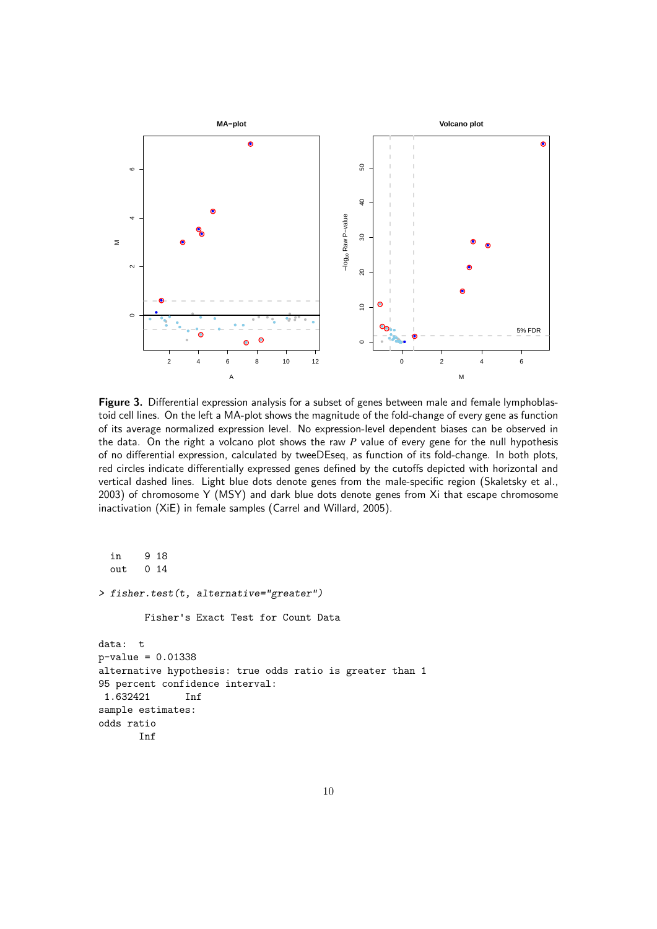<span id="page-9-0"></span>

Figure 3. Differential expression analysis for a subset of genes between male and female lymphoblastoid cell lines. On the left a MA-plot shows the magnitude of the fold-change of every gene as function of its average normalized expression level. No expression-level dependent biases can be observed in the data. On the right a volcano plot shows the raw *P* value of every gene for the null hypothesis of no differential expression, calculated by tweeDEseq, as function of its fold-change. In both plots, red circles indicate differentially expressed genes defined by the cutoffs depicted with horizontal and vertical dashed lines. Light blue dots denote genes from the male-specific region [\(Skaletsky et al.,](#page-13-0) [2003\)](#page-13-0) of chromosome Y (MSY) and dark blue dots denote genes from Xi that escape chromosome inactivation (XiE) in female samples [\(Carrel and Willard,](#page-12-8) [2005\)](#page-12-8).

in 9 18 out 0 14 > fisher.test(t, alternative="greater") Fisher's Exact Test for Count Data data: t p-value = 0.01338 alternative hypothesis: true odds ratio is greater than 1 95 percent confidence interval: 1.632421 Inf sample estimates: odds ratio Inf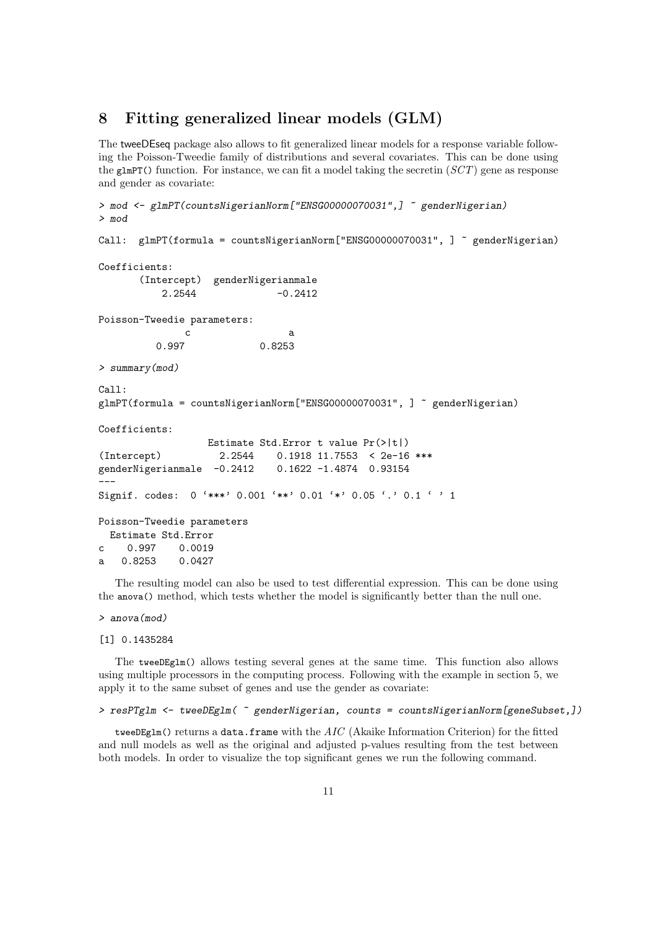#### 8 Fitting generalized linear models (GLM)

The tweeDEseq package also allows to fit generalized linear models for a response variable following the Poisson-Tweedie family of distributions and several covariates. This can be done using the glmPT() function. For instance, we can fit a model taking the secretin  $(SCT)$  gene as response and gender as covariate:

```
> mod <- glmPT(countsNigerianNorm["ENSG00000070031",] ~ genderNigerian)
> mod
Call: glmPT(formula = countsNigerianNorm["ENSG00000070031", ] ~ genderNigerian)
Coefficients:
       (Intercept) genderNigerianmale
           2.2544 -0.2412
Poisson-Tweedie parameters:
               c a a
          0.997 0.8253
> summary(mod)
Call:
glmPT(formula = countsNigerianNorm["ENSG00000070031", ] ~ genderNigerian)
Coefficients:
                   Estimate Std.Error t value Pr(>|t|)
(Intercept) 2.2544 0.1918 11.7553 < 2e-16 ***<br>genderNigerianmale -0.2412 0.1622 -1.4874 0.93154
genderNigerianmale -0.2412---
Signif. codes: 0 '***' 0.001 '**' 0.01 '*' 0.05 '.' 0.1 ' ' 1
Poisson-Tweedie parameters
  Estimate Std.Error
c 0.997 0.0019
a 0.8253 0.0427
```
The resulting model can also be used to test differential expression. This can be done using the anova() method, which tests whether the model is significantly better than the null one.

> anova(mod)

```
[1] 0.1435284
```
The tweeDEglm() allows testing several genes at the same time. This function also allows using multiple processors in the computing process. Following with the example in section 5, we apply it to the same subset of genes and use the gender as covariate:

```
> resPTglm <- tweeDEglm( ~ genderNigerian, counts = countsNigerianNorm[geneSubset,])
```
tweeDEglm() returns a data.frame with the  $AIC$  (Akaike Information Criterion) for the fitted and null models as well as the original and adjusted p-values resulting from the test between both models. In order to visualize the top significant genes we run the following command.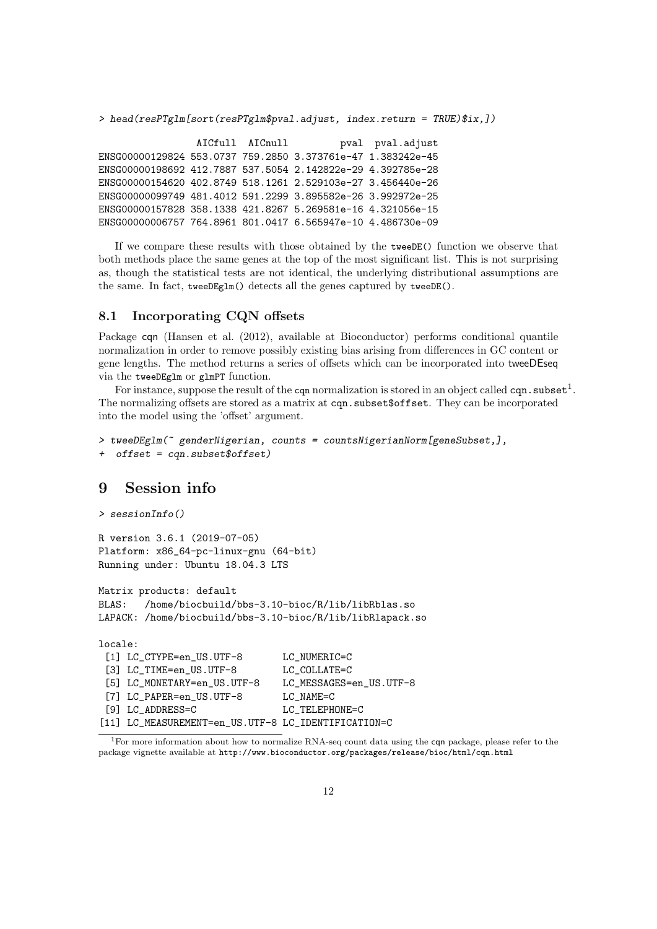```
> head(resPTglm[sort(resPTglm$pval.adjust, index.return = TRUE)$ix,])
```
AICfull AICnull pval pval.adjust ENSG00000129824 553.0737 759.2850 3.373761e-47 1.383242e-45 ENSG00000198692 412.7887 537.5054 2.142822e-29 4.392785e-28 ENSG00000154620 402.8749 518.1261 2.529103e-27 3.456440e-26 ENSG00000099749 481.4012 591.2299 3.895582e-26 3.992972e-25 ENSG00000157828 358.1338 421.8267 5.269581e-16 4.321056e-15 ENSG00000006757 764.8961 801.0417 6.565947e-10 4.486730e-09

If we compare these results with those obtained by the tweeDE() function we observe that both methods place the same genes at the top of the most significant list. This is not surprising as, though the statistical tests are not identical, the underlying distributional assumptions are the same. In fact, tweeDEglm() detects all the genes captured by tweeDE().

#### 8.1 Incorporating CQN offsets

Package cqn [\(Hansen et al.](#page-12-10) [\(2012\)](#page-12-10), available at Bioconductor) performs conditional quantile normalization in order to remove possibly existing bias arising from differences in GC content or gene lengths. The method returns a series of offsets which can be incorporated into tweeDEseq via the tweeDEglm or glmPT function.

For instance, suppose the result of the comp normalization is stored in an object called comp. subset<sup>[1](#page-11-0)</sup>. The normalizing offsets are stored as a matrix at cqn.subset\$offset. They can be incorporated into the model using the 'offset' argument.

```
> tweeDEglm(~ genderNigerian, counts = countsNigerianNorm[geneSubset,],
+ offset = cqn.subset$offset)
```
#### 9 Session info

```
> sessionInfo()
```

```
R version 3.6.1 (2019-07-05)
Platform: x86_64-pc-linux-gnu (64-bit)
Running under: Ubuntu 18.04.3 LTS
```
Matrix products: default BLAS: /home/biocbuild/bbs-3.10-bioc/R/lib/libRblas.so LAPACK: /home/biocbuild/bbs-3.10-bioc/R/lib/libRlapack.so

locale:

```
[1] LC CTYPE=en_US.UTF-8 LC NUMERIC=C
[3] LC_TIME=en_US.UTF-8 LC_COLLATE=C
[5] LC MONETARY=en US.UTF-8 LC MESSAGES=en US.UTF-8
[7] LC_PAPER=en_US.UTF-8 LC_NAME=C
[9] LC ADDRESS=C LC TELEPHONE=C
[11] LC_MEASUREMENT=en_US.UTF-8 LC_IDENTIFICATION=C
```
<span id="page-11-0"></span> $1$ For more information about how to normalize RNA-seq count data using the cqn package, please refer to the package vignette available at <http://www.bioconductor.org/packages/release/bioc/html/cqn.html>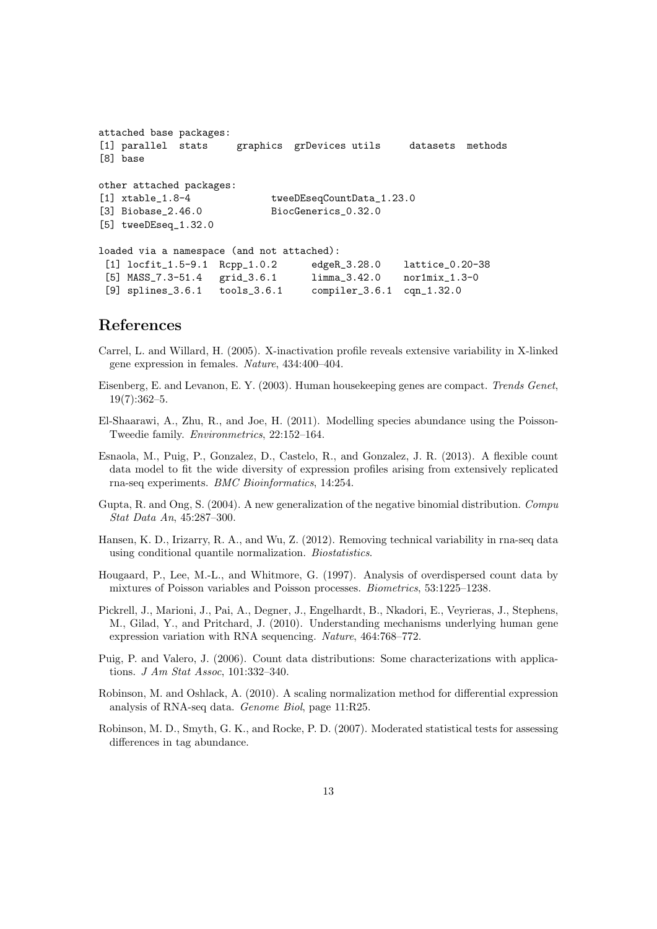```
attached base packages:
[1] parallel stats graphics grDevices utils datasets methods
[8] base
other attached packages:
[1] xtable_1.8-4 tweeDEseqCountData_1.23.0
[3] Biobase_2.46.0 BiocGenerics_0.32.0
[5] tweeDEseq_1.32.0
loaded via a namespace (and not attached):
 [1] locfit_1.5-9.1 Rcpp_1.0.2 edgeR_3.28.0 lattice_0.20-38
 [5] MASS_7.3-51.4 grid_3.6.1 limma_3.42.0 nor1mix_1.3-0
 [9] splines_3.6.1 tools_3.6.1 compiler_3.6.1 cqn_1.32.0
```
#### References

- <span id="page-12-8"></span>Carrel, L. and Willard, H. (2005). X-inactivation profile reveals extensive variability in X-linked gene expression in females. Nature, 434:400–404.
- <span id="page-12-9"></span>Eisenberg, E. and Levanon, E. Y. (2003). Human housekeeping genes are compact. Trends Genet, 19(7):362–5.
- <span id="page-12-7"></span>El-Shaarawi, A., Zhu, R., and Joe, H. (2011). Modelling species abundance using the Poisson-Tweedie family. Environmetrics, 22:152–164.
- <span id="page-12-0"></span>Esnaola, M., Puig, P., Gonzalez, D., Castelo, R., and Gonzalez, J. R. (2013). A flexible count data model to fit the wide diversity of expression profiles arising from extensively replicated rna-seq experiments. BMC Bioinformatics, 14:254.
- <span id="page-12-5"></span>Gupta, R. and Ong, S. (2004). A new generalization of the negative binomial distribution. Compu Stat Data An, 45:287–300.
- <span id="page-12-10"></span>Hansen, K. D., Irizarry, R. A., and Wu, Z. (2012). Removing technical variability in rna-seq data using conditional quantile normalization. Biostatistics.
- <span id="page-12-4"></span>Hougaard, P., Lee, M.-L., and Whitmore, G. (1997). Analysis of overdispersed count data by mixtures of Poisson variables and Poisson processes. Biometrics, 53:1225–1238.
- <span id="page-12-1"></span>Pickrell, J., Marioni, J., Pai, A., Degner, J., Engelhardt, B., Nkadori, E., Veyrieras, J., Stephens, M., Gilad, Y., and Pritchard, J. (2010). Understanding mechanisms underlying human gene expression variation with RNA sequencing. Nature, 464:768–772.
- <span id="page-12-6"></span>Puig, P. and Valero, J. (2006). Count data distributions: Some characterizations with applications. J Am Stat Assoc, 101:332–340.
- <span id="page-12-2"></span>Robinson, M. and Oshlack, A. (2010). A scaling normalization method for differential expression analysis of RNA-seq data. Genome Biol, page 11:R25.
- <span id="page-12-3"></span>Robinson, M. D., Smyth, G. K., and Rocke, P. D. (2007). Moderated statistical tests for assessing differences in tag abundance.